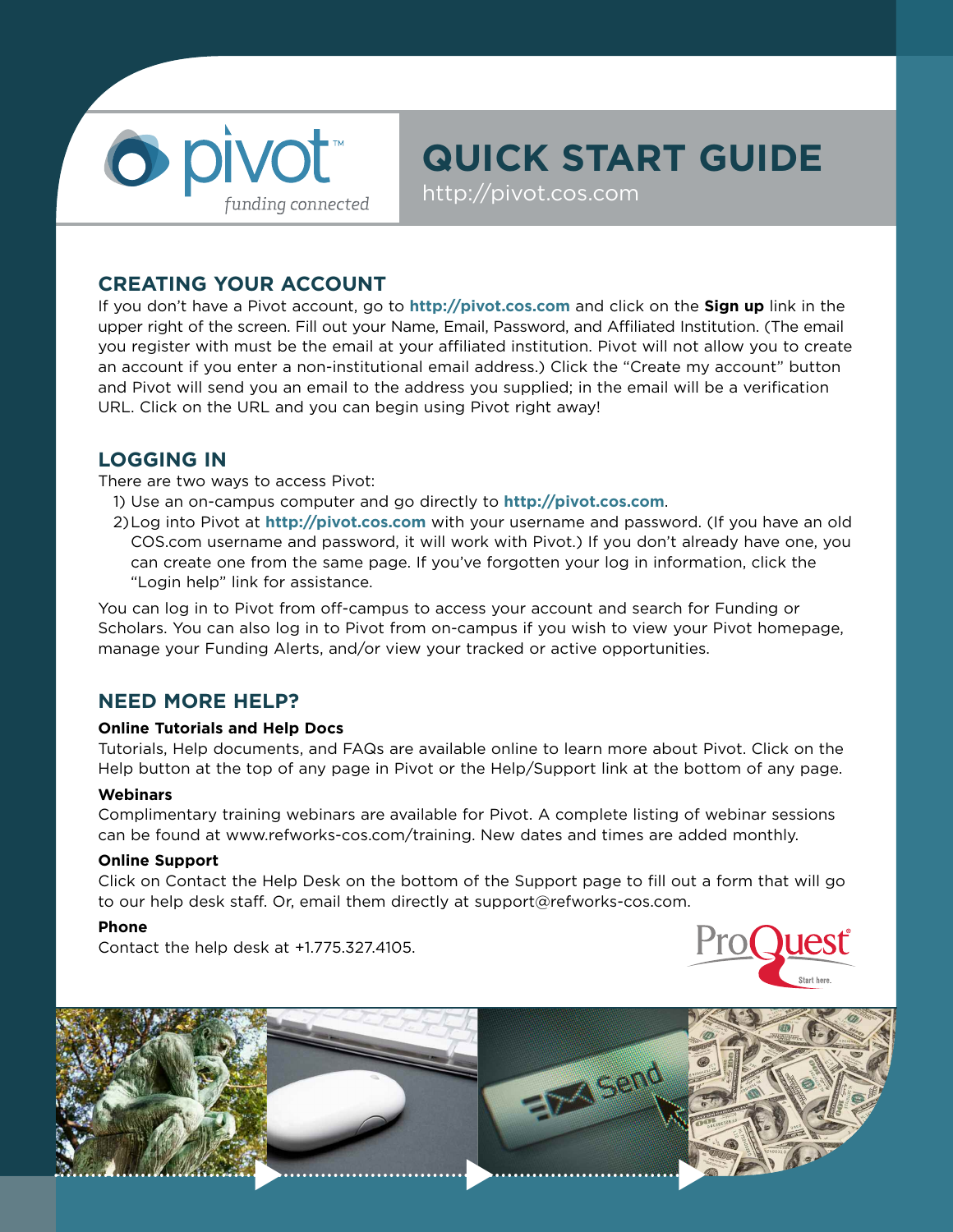

# **QUICK START GUIDE**

http://pivot.cos.com

## **CREATING YOUR ACCOUNT**

If you don't have a Pivot account, go to **http://pivot.cos.com** and click on the **Sign up** link in the upper right of the screen. Fill out your Name, Email, Password, and Affiliated Institution. (The email you register with must be the email at your affiliated institution. Pivot will not allow you to create an account if you enter a non-institutional email address.) Click the "Create my account" button and Pivot will send you an email to the address you supplied; in the email will be a verification URL. Click on the URL and you can begin using Pivot right away!

## **LOGGING IN**

There are two ways to access Pivot:

- 1) Use an on-campus computer and go directly to **http://pivot.cos.com**.
- 2)Log into Pivot at **http://pivot.cos.com** with your username and password. (If you have an old COS.com username and password, it will work with Pivot.) If you don't already have one, you can create one from the same page. If you've forgotten your log in information, click the "Login help" link for assistance.

You can log in to Pivot from off-campus to access your account and search for Funding or Scholars. You can also log in to Pivot from on-campus if you wish to view your Pivot homepage, manage your Funding Alerts, and/or view your tracked or active opportunities.

## **NEED MORE HELP?**

#### **Online Tutorials and Help Docs**

Tutorials, Help documents, and FAQs are available online to learn more about Pivot. Click on the Help button at the top of any page in Pivot or the Help/Support link at the bottom of any page.

#### **Webinars**

Complimentary training webinars are available for Pivot. A complete listing of webinar sessions can be found at www.refworks-cos.com/training. New dates and times are added monthly.

#### **Online Support**

Click on Contact the Help Desk on the bottom of the Support page to fill out a form that will go to our help desk staff. Or, email them directly at support@refworks-cos.com.

#### **Phone**

Contact the help desk at +1.775.327.4105.



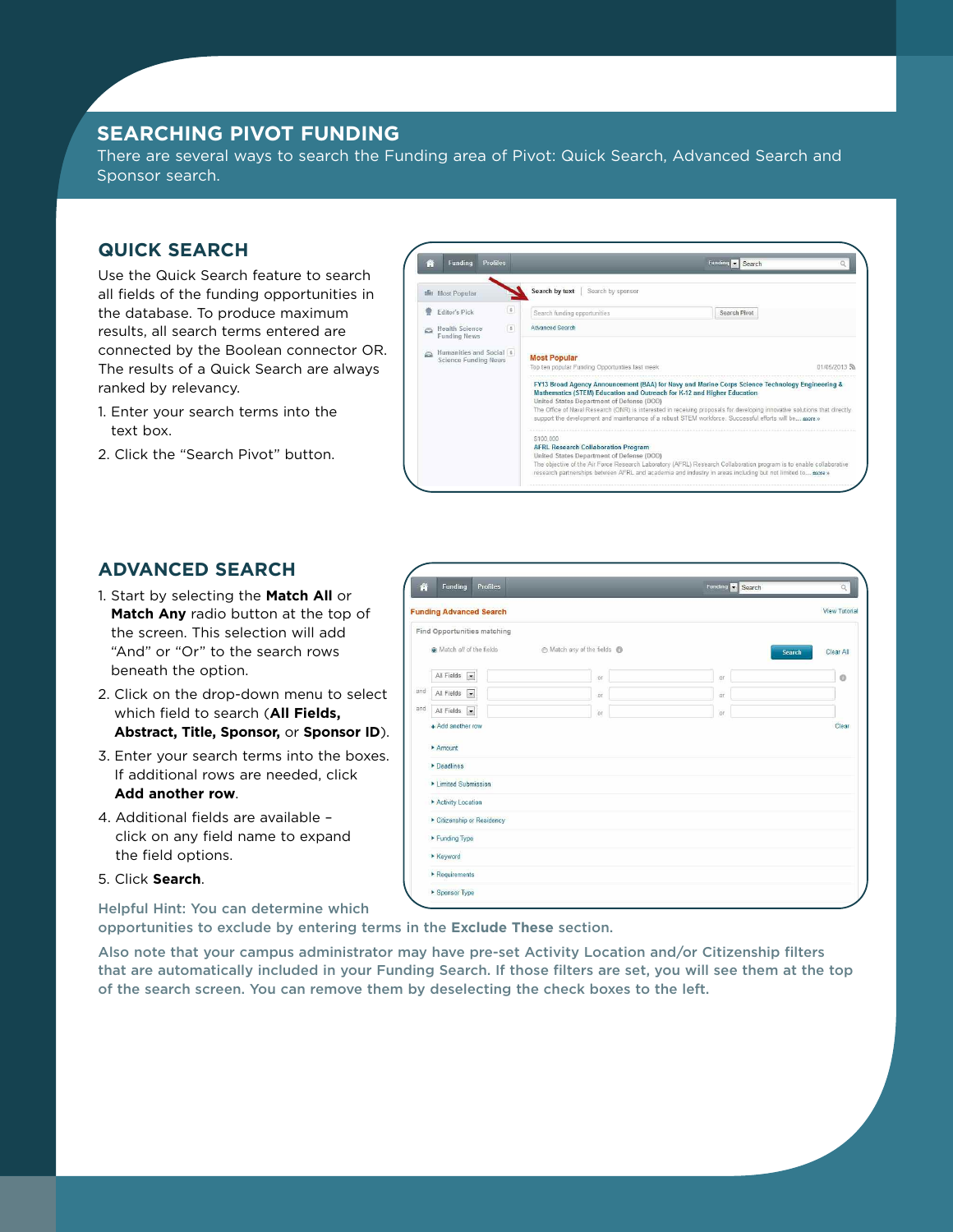## **SEARCHING PIVOT FUNDING**

There are several ways to search the Funding area of Pivot: Quick Search, Advanced Search and Sponsor search.

## **QUICK SEARCH**

Use the Quick Search feature to search all fields of the funding opportunities in the database. To produce maximum results, all search terms entered are connected by the Boolean connector OR. The results of a Quick Search are always ranked by relevancy.

- 1. Enter your search terms into the text box.
- 2. Click the "Search Pivot" button.



## **ADVANCED SEARCH**

- 1. Start by selecting the **Match All** or **Match Any** radio button at the top of the screen. This selection will add "And" or "Or" to the search rows beneath the option.
- 2. Click on the drop-down menu to select which field to search (**All Fields, Abstract, Title, Sponsor,** or **Sponsor ID**).
- 3. Enter your search terms into the boxes. If additional rows are needed, click **Add another row**.
- 4. Additional fields are available click on any field name to expand the field options.
- 5. Click **Search**.

**Helpful Hint: You can determine which**

| 脅   | Funding                                | Profiles                    |                         | Funding<br>$\overline{\phantom{a}}$<br>Search | $\overline{Q}$       |
|-----|----------------------------------------|-----------------------------|-------------------------|-----------------------------------------------|----------------------|
|     |                                        | unding Advanced Search      |                         |                                               | <b>View Tutorial</b> |
|     |                                        | Find Opportunities matching |                         |                                               |                      |
|     | (a) Match all of the fields            |                             | Match any of the fields |                                               | Clear All<br>Search  |
|     | All Fields<br>$\overline{\mathbf{r}}$  |                             | or                      | or                                            | $\circ$              |
| and | $\vert x \vert$<br>All Fields          |                             | or                      | or                                            |                      |
| and | $\overline{\phantom{a}}$<br>All Fields |                             | or                      | or                                            |                      |
|     | + Add another row                      |                             |                         |                                               | Clear                |
|     | Amount                                 |                             |                         |                                               |                      |
|     | Deadlines                              |                             |                         |                                               |                      |
|     | Limited Submission                     |                             |                         |                                               |                      |
|     | Activity Location                      |                             |                         |                                               |                      |
|     | Citizenship or Residency               |                             |                         |                                               |                      |
|     | Funding Type                           |                             |                         |                                               |                      |
|     | Keyword                                |                             |                         |                                               |                      |
|     | Requirements                           |                             |                         |                                               |                      |
|     | Sponsor Type                           |                             |                         |                                               |                      |

**opportunities to exclude by entering terms in the Exclude These section.**

**Also note that your campus administrator may have pre-set Activity Location and/or Citizenship filters that are automatically included in your Funding Search. If those filters are set, you will see them at the top of the search screen. You can remove them by deselecting the check boxes to the left.**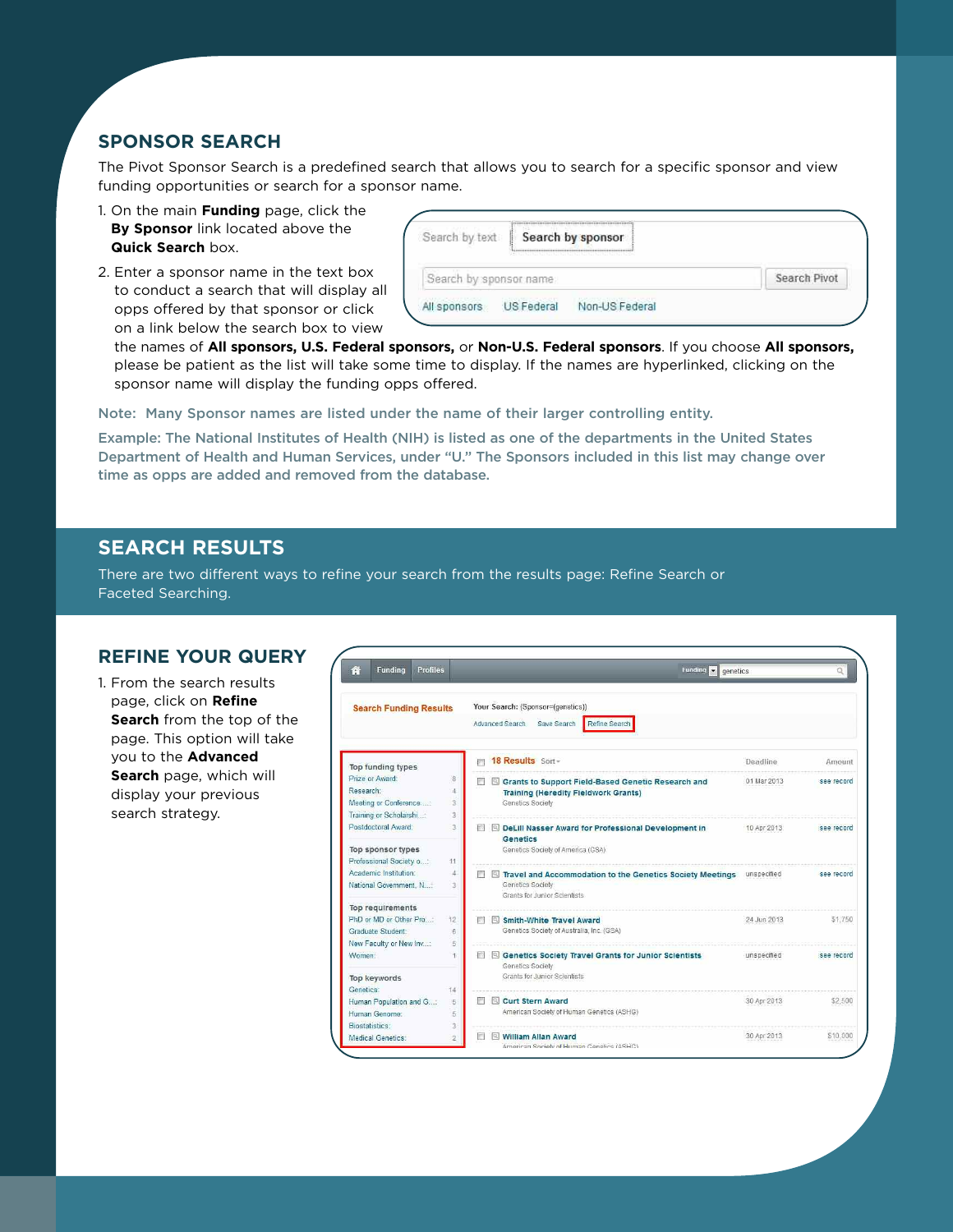## **SPONSOR SEARCH**

The Pivot Sponsor Search is a predefined search that allows you to search for a specific sponsor and view funding opportunities or search for a sponsor name.

- 1. On the main **Funding** page, click the **By Sponsor** link located above the **Quick Search** box.
- 2. Enter a sponsor name in the text box to conduct a search that will display all opps offered by that sponsor or click on a link below the search box to view

| Search by text         | ļ.         | Search by sponsor |  |
|------------------------|------------|-------------------|--|
| Search by sponsor name |            | Search Pivot      |  |
| All sponsors           | US Federal | Non-US Federal    |  |

the names of **All sponsors, U.S. Federal sponsors,** or **Non-U.S. Federal sponsors**. If you choose **All sponsors,** please be patient as the list will take some time to display. If the names are hyperlinked, clicking on the sponsor name will display the funding opps offered.

**Note: Many Sponsor names are listed under the name of their larger controlling entity.** 

**Example: The National Institutes of Health (NIH) is listed as one of the departments in the United States Department of Health and Human Services, under "U." The Sponsors included in this list may change over time as opps are added and removed from the database.**

## **SEARCH RESULTS**

There are two different ways to refine your search from the results page: Refine Search or Faceted Searching.

#### **REFINE YOUR QUERY**

1. From the search results page, click on **Refine Search** from the top of the page. This option will take you to the **Advanced Search** page, which will display your previous search strategy.

| <b>Funding</b><br><b>Profiles</b>                                                |                                    | <b>Funding</b><br>genetics                                                                                                 |             |            |
|----------------------------------------------------------------------------------|------------------------------------|----------------------------------------------------------------------------------------------------------------------------|-------------|------------|
| <b>Search Funding Results</b>                                                    |                                    | Your Search: (Sponsor=(genetics))<br>Advanced Search Save Search<br>Refine Search                                          |             |            |
| Top funding types                                                                |                                    | 18 Results Sort-<br>画                                                                                                      | Deadline    | Amount     |
| Prize or Award:<br>Research:<br>Meeting or Conference<br>Training or Scholarshi: | 8<br>Ā<br>$\overline{3}$<br>3      | Grants to Support Field-Based Genetic Research and<br>m<br><b>Training (Heredity Fieldwork Grants)</b><br>Genetics Society | 01 Mar 2013 | see record |
| Postdoctoral Award:<br>Top sponsor types                                         | $\overline{\mathbf{3}}$            | DeLill Nasser Award for Professional Development in<br>Genetics<br>Genetics Society of America (GSA)                       | 10 Apr 2013 | see record |
| Professional Society o:<br>Academic Institution:<br>National Government, N       | 11<br>d<br>$\overline{\mathbf{z}}$ | 而<br>Travel and Accommodation to the Genetics Society Meetings<br>Genetics Society<br>Grants for Junior Scientists         | unspecified | see record |
| Top requirements<br>PhD or MD or Other Pro<br>Graduate Student:                  | 12<br>6                            | <b>Smith-White Travel Award</b><br>Genetics Society of Australia, Inc. (GSA)                                               | 24 Jun 2013 | \$1,750    |
| New Faculty or New Inv<br>Women:                                                 | 5                                  | <b>Genetics Society Travel Grants for Junior Scientists</b><br>脚<br>Genetics Society                                       | unspecified | see record |
| <b>Top keywords</b><br>Genetics:<br>Human Population and G<br>Human Genome:      | 14<br>5<br>5                       | Grants for Junior Scientists<br><b>Curt Stern Award</b><br>American Society of Human Genetics (ASHG)                       | 30 Apr 2013 | \$2,500    |
| <b>Biostatistics:</b><br>Medical Genetics:                                       | 3<br>2                             | <b>William Allan Award</b><br>American Society of Human Genetics (ASHG)                                                    | 30 Apr 2013 | \$10,000   |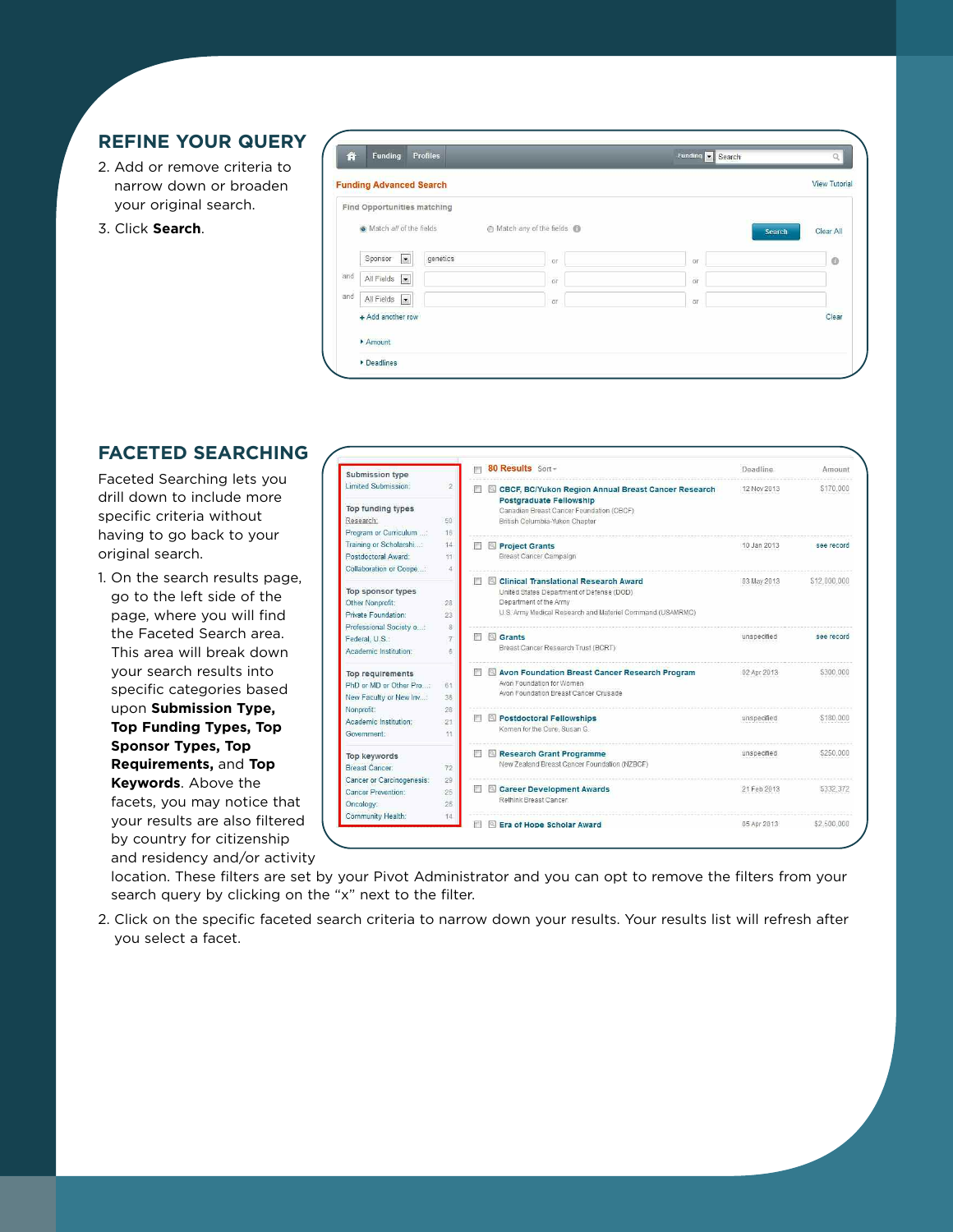## **REFINE YOUR QUERY**

- 2. Add or remove criteria to narrow down or broaden your original search.
- 3. Click **Search**.

|     | <b>Funding Advanced Search</b>    |          |                         |           | <b>View Tutorial</b> |
|-----|-----------------------------------|----------|-------------------------|-----------|----------------------|
|     | Find Opportunities matching       |          |                         |           |                      |
|     | O Match all of the fields         |          | Match any of the fields |           | Clear All<br>Search  |
|     | Sponsor<br>$\vert$ , $\vert$      | genetics | or                      | <b>OF</b> | $\circ$              |
| and | All Fields<br>$\vert \cdot \vert$ |          | or                      | or        |                      |
| and | All Fields<br>$\vert$ ,           |          | <b>GY</b>               | <b>Of</b> |                      |
|     | + Add another row                 |          |                         |           | Clear                |
|     | Amount                            |          |                         |           |                      |

## **FACETED SEARCHING**

Faceted Searching lets you drill down to include more specific criteria without having to go back to your original search.

1. On the search results page, go to the left side of the page, where you will find the Faceted Search area. This area will break down your search results into specific categories based upon **Submission Type, Top Funding Types, Top Sponsor Types, Top Requirements,** and **Top Keywords**. Above the facets, you may notice that your results are also filtered by country for citizenship and residency and/or activity

| Submission type                  |                | 80 Results Sort-                                                                             | Deadline     | Amount       |
|----------------------------------|----------------|----------------------------------------------------------------------------------------------|--------------|--------------|
| Limited Submission:              | $\overline{2}$ | CBCF, BC/Yukon Region Annual Breast Cancer Research<br>ΓRΙ<br><b>Postgraduate Fellowship</b> | 12 Nov 2013  | \$170,000    |
| Top funding types                |                | Canadian Breast Cancer Foundation (CBCF)                                                     |              |              |
| Research:                        | 50             | British Columbia-Yukon Chapter                                                               |              |              |
| Program or Curriculum :          | 16             |                                                                                              |              |              |
| Training or Scholarshi:          | 14             | 回<br><b>Project Grants</b>                                                                   | 10. Jan 2013 | See record   |
| Postdoctoral Award:              | 11             | Breast Cancer Campaign                                                                       |              |              |
| Collaboration or Coope;          | $\Delta$       |                                                                                              |              |              |
|                                  | П              | <b>Clinical Translational Research Award</b><br>Q)                                           | 03 May 2013  | \$12,000,000 |
| Top sponsor types                | 28             | United States Department of Defense (DOD)                                                    |              |              |
| Other Nonprofit:                 |                | Department of the Army<br>U.S. Army Medical Research and Materiel Command (USAMRMC)          |              |              |
| Private Foundation:              | 23             |                                                                                              |              |              |
| Professional Society o           | g              |                                                                                              |              | see record   |
| Federal, U.S.:                   | 門<br>7         | <b>Q</b> Grants<br>Breast Cancer Research Trust (BCRT)                                       | unspecified  |              |
| Academic Institution:            | i6.            |                                                                                              |              |              |
| Top requirements                 |                | Avon Foundation Breast Cancer Research Program                                               | 02 Apr 2013  | \$300,000    |
| PhD or MD or Other Pro           | 61             | Avon Foundation for Women                                                                    |              |              |
| New Faculty or New Inv           | 36             | Avon Foundation Breast Cancer Crusade                                                        |              |              |
| Nonprofit:                       | 28             |                                                                                              |              |              |
| Academic Institution:            | 21             | Restdoctoral Fellowships                                                                     | unspecified  | \$180,000    |
| Government:                      | 11             | Komen for the Cure, Susan G.                                                                 |              |              |
| Top keywords                     | F              | Research Grant Programme                                                                     | unspecified  | \$250,000    |
| <b>Breast Cancer:</b>            | 72             | New Zealand Breast Cancer Foundation (NZBCF)                                                 |              |              |
| <b>Cancer or Carcinogenesis:</b> | 29             |                                                                                              |              |              |
| Cancer Prevention:               | E<br>25        | <b>Career Development Awards</b><br>$\boxed{1}$                                              | 21 Feb 2013  | \$332,372    |
| Oncology:                        | 25             | Rethink Breast Cancer.                                                                       |              |              |
| Community Health:                | 14             |                                                                                              |              |              |
|                                  |                | <b>Era of Hope Scholar Award</b>                                                             | 05 Apr 2013  | \$2,500,000  |

location. These filters are set by your Pivot Administrator and you can opt to remove the filters from your search query by clicking on the "x" next to the filter.

2. Click on the specific faceted search criteria to narrow down your results. Your results list will refresh after you select a facet.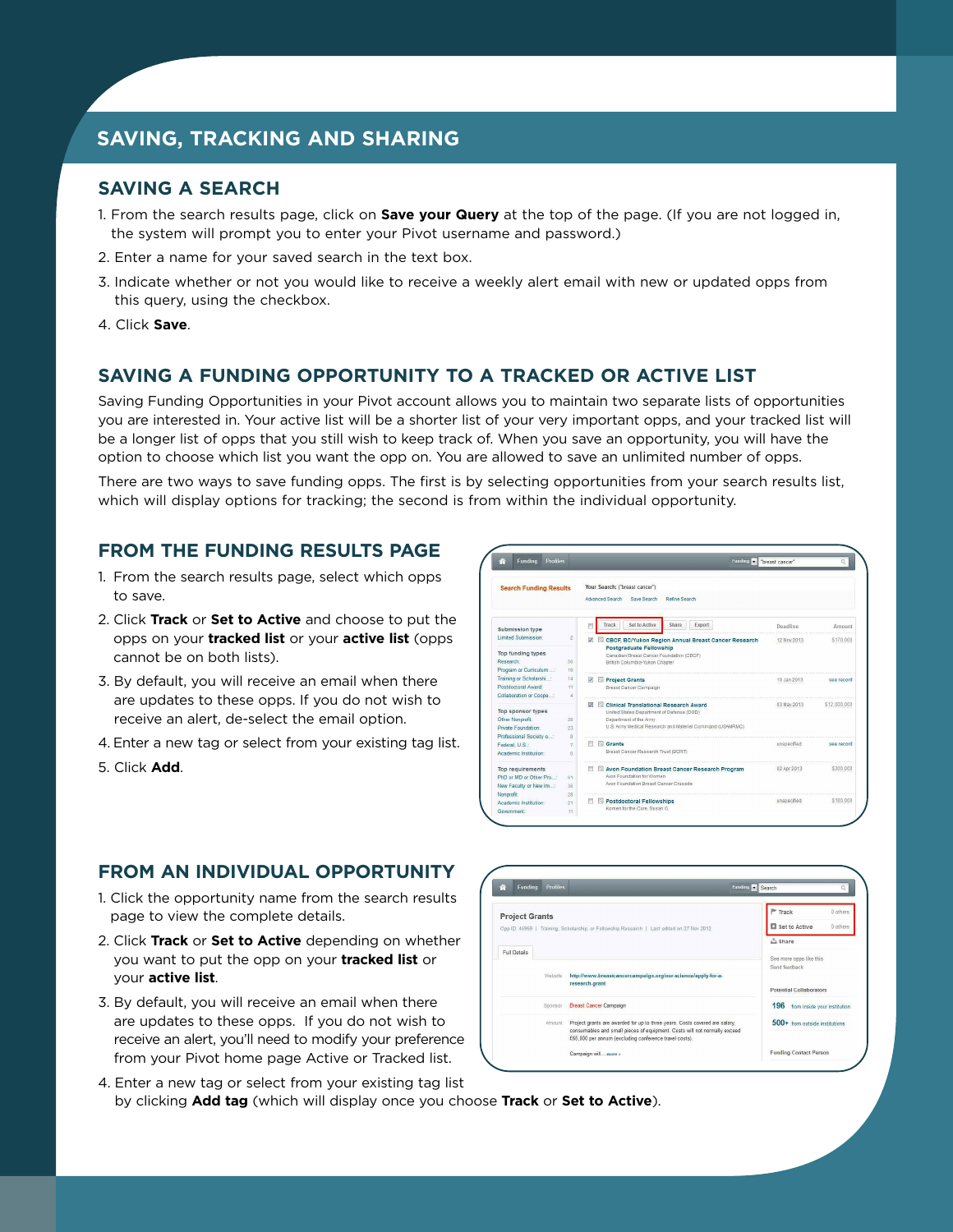## **SAVING, TRACKING AND SHARING**

## **SAVING A SEARCH**

- 1. From the search results page, click on **Save your Query** at the top of the page. (If you are not logged in, the system will prompt you to enter your Pivot username and password.)
- 2. Enter a name for your saved search in the text box.
- 3. Indicate whether or not you would like to receive a weekly alert email with new or updated opps from this query, using the checkbox.
- 4. Click **Save**.

### **SAVING A FUNDING OPPORTUNITY TO A TRACKED OR ACTIVE LIST**

Saving Funding Opportunities in your Pivot account allows you to maintain two separate lists of opportunities you are interested in. Your active list will be a shorter list of your very important opps, and your tracked list will be a longer list of opps that you still wish to keep track of. When you save an opportunity, you will have the option to choose which list you want the opp on. You are allowed to save an unlimited number of opps.

There are two ways to save funding opps. The first is by selecting opportunities from your search results list, which will display options for tracking; the second is from within the individual opportunity.

#### **FROM THE FUNDING RESULTS PAGE**

- 1. From the search results page, select which opps to save.
- 2. Click **Track** or **Set to Active** and choose to put the opps on your **tracked list** or your **active list** (opps cannot be on both lists).
- 3. By default, you will receive an email when there are updates to these opps. If you do not wish to receive an alert, de-select the email option.
- 4. Enter a new tag or select from your existing tag list.
- 5. Click **Add**.



#### **FROM AN INDIVIDUAL OPPORTUNITY**

- 1. Click the opportunity name from the search results page to view the complete details.
- 2. Click **Track** or **Set to Active** depending on whether you want to put the opp on your **tracked list** or your **active list**.
- 3. By default, you will receive an email when there are updates to these opps. If you do not wish to receive an alert, you'll need to modify your preference from your Pivot home page Active or Tracked list.
- 4. Enter a new tag or select from your existing tag list by clicking **Add tag** (which will display once you choose **Track** or **Set to Active**).